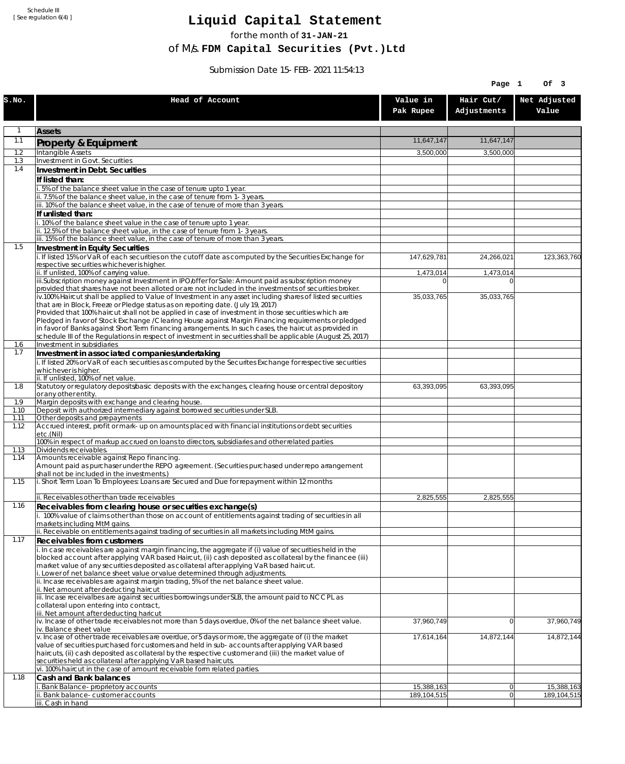Schedule III [ See regulation 6(4) ]

## **Liquid Capital Statement**

for the month of **31-JAN-21**

of M/s. **FDM Capital Securities (Pvt.)Ltd**

Submission Date 15-FEB-2021 11:54:13

|              |                                                                                                                                                                                                                        |                             | Page 1                   | Of 3                      |
|--------------|------------------------------------------------------------------------------------------------------------------------------------------------------------------------------------------------------------------------|-----------------------------|--------------------------|---------------------------|
| S.NO.        | Head of Account                                                                                                                                                                                                        | Value in<br>Pak Rupee       | Hair Cut/<br>Adjustments | Net Adjusted<br>Value     |
| $\mathbf{1}$ | <b>Assets</b>                                                                                                                                                                                                          |                             |                          |                           |
| 1.1          | Property & Equipment                                                                                                                                                                                                   | 11,647,147                  | 11,647,147               |                           |
| 1.2          | Intangible Assets                                                                                                                                                                                                      | 3,500,000                   | 3,500,000                |                           |
| 1.3<br>1.4   | Investment in Govt. Securities<br>Investment in Debt. Securities                                                                                                                                                       |                             |                          |                           |
|              | If listed than:                                                                                                                                                                                                        |                             |                          |                           |
|              | i. 5% of the balance sheet value in the case of tenure upto 1 year.                                                                                                                                                    |                             |                          |                           |
|              | ii. 7.5% of the balance sheet value, in the case of tenure from 1-3 years.                                                                                                                                             |                             |                          |                           |
|              | iii. 10% of the balance sheet value, in the case of tenure of more than 3 years.<br>If unlisted than:                                                                                                                  |                             |                          |                           |
|              | i. 10% of the balance sheet value in the case of tenure upto 1 year.                                                                                                                                                   |                             |                          |                           |
|              | ii. 12.5% of the balance sheet value, in the case of tenure from 1-3 years.                                                                                                                                            |                             |                          |                           |
| 1.5          | iii. 15% of the balance sheet value, in the case of tenure of more than 3 years.<br>Investment in Equity Securities                                                                                                    |                             |                          |                           |
|              | i. If listed 15% or VaR of each securities on the cutoff date as computed by the Securities Exchange for                                                                                                               | 147,629,781                 | 24,266,021               | 123,363,760               |
|              | respective securities whichever is higher.                                                                                                                                                                             |                             |                          |                           |
|              | ii. If unlisted, 100% of carrying value.<br>iii.Subscription money against Investment in IPO/offer for Sale: Amount paid as subscription money                                                                         | 1,473,014<br>$\overline{0}$ | 1,473,014<br>$\Omega$    |                           |
|              | provided that shares have not been alloted or are not included in the investments of securities broker.                                                                                                                |                             |                          |                           |
|              | $\overline{v}$ .100% Haircut shall be applied to Value of Investment in any asset including shares of listed securities                                                                                                | 35,033,765                  | 35,033,765               |                           |
|              | that are in Block, Freeze or Pledge status as on reporting date. (July 19, 2017)<br>Provided that 100% haircut shall not be applied in case of investment in those securities which are                                |                             |                          |                           |
|              | Pledged in favor of Stock Exchange / Clearing House against Margin Financing requirements or pledged                                                                                                                   |                             |                          |                           |
|              | in favor of Banks against Short Term financing arrangements. In such cases, the haircut as provided in<br>schedule III of the Regulations in respect of investment in securities shall be applicable (August 25, 2017) |                             |                          |                           |
| 1.6          | Investment in subsidiaries                                                                                                                                                                                             |                             |                          |                           |
| 1.7          | Investment in associated companies/undertaking                                                                                                                                                                         |                             |                          |                           |
|              | i. If listed 20% or VaR of each securities as computed by the Securites Exchange for respective securities<br>whichever is higher.                                                                                     |                             |                          |                           |
|              | ii. If unlisted, 100% of net value.                                                                                                                                                                                    |                             |                          |                           |
| 1.8          | Statutory or regulatory deposits/basic deposits with the exchanges, clearing house or central depository                                                                                                               | 63,393,095                  | 63,393,095               |                           |
| 1.9          | or any other entity.<br>Margin deposits with exchange and clearing house.                                                                                                                                              |                             |                          |                           |
| 1.10         | Deposit with authorized intermediary against borrowed securities under SLB.                                                                                                                                            |                             |                          |                           |
| 1.11<br>1.12 | Other deposits and prepayments<br>Accrued interest, profit or mark-up on amounts placed with financial institutions or debt securities                                                                                 |                             |                          |                           |
|              | etc.(Nil)                                                                                                                                                                                                              |                             |                          |                           |
|              | 100% in respect of markup accrued on loans to directors, subsidiaries and other related parties                                                                                                                        |                             |                          |                           |
| 1.13<br>1.14 | Dividends receivables.<br>Amounts receivable against Repo financing.                                                                                                                                                   |                             |                          |                           |
|              | Amount paid as purchaser under the REPO agreement. (Securities purchased under repo arrangement                                                                                                                        |                             |                          |                           |
| 1.15         | shall not be included in the investments.)<br>i. Short Term Loan To Employees: Loans are Secured and Due for repayment within 12 months                                                                                |                             |                          |                           |
|              |                                                                                                                                                                                                                        |                             |                          |                           |
|              | ii. Receivables other than trade receivables                                                                                                                                                                           | 2,825,555                   | 2,825,555                |                           |
| 1.16         | Receivables from clearing house or securities exchange(s)<br>i. 100% value of claims other than those on account of entitlements against trading of securities in all                                                  |                             |                          |                           |
|              | markets including MtM gains.                                                                                                                                                                                           |                             |                          |                           |
|              | ii. Receivable on entitlements against trading of securities in all markets including MtM gains.                                                                                                                       |                             |                          |                           |
| 1.17         | <b>Receivables from customers</b><br>i. In case receivables are against margin financing, the aggregate if (i) value of securities held in the                                                                         |                             |                          |                           |
|              | blocked account after applying VAR based Haircut, (ii) cash deposited as collateral by the financee (iii)                                                                                                              |                             |                          |                           |
|              | market value of any securities deposited as collateral after applying VaR based haircut.                                                                                                                               |                             |                          |                           |
|              | i. Lower of net balance sheet value or value determined through adjustments.<br>ii. Incase receivables are against margin trading, 5% of the net balance sheet value.                                                  |                             |                          |                           |
|              | ii. Net amount after deducting haircut                                                                                                                                                                                 |                             |                          |                           |
|              | iii. Incase receivalbes are against securities borrowings under SLB, the amount paid to NCCPL as<br>collateral upon entering into contract,                                                                            |                             |                          |                           |
|              | iii. Net amount after deducting haricut                                                                                                                                                                                |                             |                          |                           |
|              | $iv.$ Incase of other trade receivables not more than 5 days overdue, 0% of the net balance sheet value.                                                                                                               | 37,960,749                  | $\overline{0}$           | 37,960,749                |
|              | iv. Balance sheet value<br>v. Incase of other trade receivables are overdue, or 5 days or more, the aggregate of (i) the market                                                                                        | 17,614,164                  | 14,872,144               | 14,872,144                |
|              | value of securities purchased for customers and held in sub-accounts after applying VAR based                                                                                                                          |                             |                          |                           |
|              | haircuts, (ii) cash deposited as collateral by the respective customer and (iii) the market value of<br>securities held as collateral after applying VaR based haircuts.                                               |                             |                          |                           |
|              | vi. 100% haircut in the case of amount receivable form related parties.                                                                                                                                                |                             |                          |                           |
| 1.18         | Cash and Bank balances                                                                                                                                                                                                 |                             |                          |                           |
|              | i. Bank Balance-proprietory accounts<br>ii. Bank balance-customer accounts                                                                                                                                             | 15,388,163<br>189,104,515   | $\overline{0}$<br> 0     | 15,388,163<br>189,104,515 |
|              | iii. Cash in hand                                                                                                                                                                                                      |                             |                          |                           |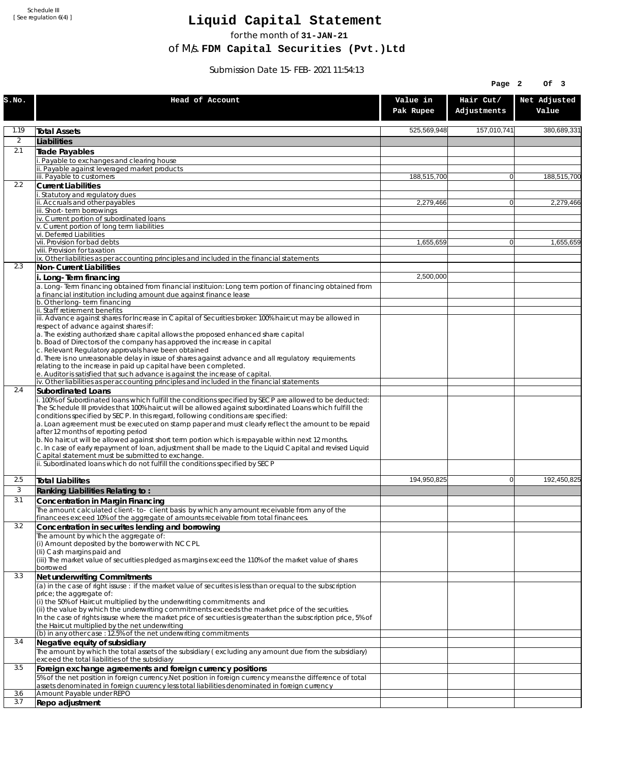Schedule III [ See regulation 6(4) ]

## **Liquid Capital Statement**

for the month of **31-JAN-21**

of M/s. **FDM Capital Securities (Pvt.)Ltd**

Submission Date 15-FEB-2021 11:54:13

|                |                                                                                                                                                                                                                                                                                                                                                                                                                                                                                                                                                                                                                                                                                                                                                                                                             |                       | Page 2                   | Of 3                  |
|----------------|-------------------------------------------------------------------------------------------------------------------------------------------------------------------------------------------------------------------------------------------------------------------------------------------------------------------------------------------------------------------------------------------------------------------------------------------------------------------------------------------------------------------------------------------------------------------------------------------------------------------------------------------------------------------------------------------------------------------------------------------------------------------------------------------------------------|-----------------------|--------------------------|-----------------------|
| S.NO.          | Head of Account                                                                                                                                                                                                                                                                                                                                                                                                                                                                                                                                                                                                                                                                                                                                                                                             | Value in<br>Pak Rupee | Hair Cut/<br>Adjustments | Net Adjusted<br>Value |
| 1.19           | <b>Total Assets</b>                                                                                                                                                                                                                                                                                                                                                                                                                                                                                                                                                                                                                                                                                                                                                                                         | 525,569,948           | 157,010,741              | 380,689,331           |
| $\overline{2}$ | Liabilities                                                                                                                                                                                                                                                                                                                                                                                                                                                                                                                                                                                                                                                                                                                                                                                                 |                       |                          |                       |
| 2.1            | Trade Payables                                                                                                                                                                                                                                                                                                                                                                                                                                                                                                                                                                                                                                                                                                                                                                                              |                       |                          |                       |
|                | Payable to exchanges and clearing house                                                                                                                                                                                                                                                                                                                                                                                                                                                                                                                                                                                                                                                                                                                                                                     |                       |                          |                       |
|                | ii. Payable against leveraged market products<br>iii. Payable to customers                                                                                                                                                                                                                                                                                                                                                                                                                                                                                                                                                                                                                                                                                                                                  | 188,515,700           | $\mathbf{0}$             | 188,515,700           |
| 2.2            | <b>Current Liabilities</b>                                                                                                                                                                                                                                                                                                                                                                                                                                                                                                                                                                                                                                                                                                                                                                                  |                       |                          |                       |
|                | . Statutory and regulatory dues<br>ii. Accruals and other payables                                                                                                                                                                                                                                                                                                                                                                                                                                                                                                                                                                                                                                                                                                                                          |                       |                          |                       |
|                | iii. Short-term borrowings                                                                                                                                                                                                                                                                                                                                                                                                                                                                                                                                                                                                                                                                                                                                                                                  | 2,279,466             | $\overline{0}$           | 2,279,466             |
|                | iv. Current portion of subordinated loans                                                                                                                                                                                                                                                                                                                                                                                                                                                                                                                                                                                                                                                                                                                                                                   |                       |                          |                       |
|                | v. Current portion of long term liabilities<br>vi. Deferred Liabilities                                                                                                                                                                                                                                                                                                                                                                                                                                                                                                                                                                                                                                                                                                                                     |                       |                          |                       |
|                | vii. Provision for bad debts                                                                                                                                                                                                                                                                                                                                                                                                                                                                                                                                                                                                                                                                                                                                                                                | 1,655,659             | 0                        | 1,655,659             |
|                | viii. Provision for taxation                                                                                                                                                                                                                                                                                                                                                                                                                                                                                                                                                                                                                                                                                                                                                                                |                       |                          |                       |
| 2.3            | ix. Other liabilities as per accounting principles and included in the financial statements<br>Non-Current Liabilities                                                                                                                                                                                                                                                                                                                                                                                                                                                                                                                                                                                                                                                                                      |                       |                          |                       |
|                | i. Long-Term financing                                                                                                                                                                                                                                                                                                                                                                                                                                                                                                                                                                                                                                                                                                                                                                                      | 2,500,000             |                          |                       |
|                | a. Long-Term financing obtained from financial instituion: Long term portion of financing obtained from<br>a financial institution including amount due against finance lease                                                                                                                                                                                                                                                                                                                                                                                                                                                                                                                                                                                                                               |                       |                          |                       |
|                | b. Other long-term financing                                                                                                                                                                                                                                                                                                                                                                                                                                                                                                                                                                                                                                                                                                                                                                                |                       |                          |                       |
|                | ii. Staff retirement benefits<br>iii. Advance against shares for Increase in Capital of Securities broker: 100% haircut may be allowed in                                                                                                                                                                                                                                                                                                                                                                                                                                                                                                                                                                                                                                                                   |                       |                          |                       |
|                | respect of advance against shares if:<br>a. The existing authorized share capital allows the proposed enhanced share capital                                                                                                                                                                                                                                                                                                                                                                                                                                                                                                                                                                                                                                                                                |                       |                          |                       |
|                | b. Boad of Directors of the company has approved the increase in capital<br>c. Relevant Regulatory approvals have been obtained                                                                                                                                                                                                                                                                                                                                                                                                                                                                                                                                                                                                                                                                             |                       |                          |                       |
|                | d. There is no unreasonable delay in issue of shares against advance and all regulatory requirements<br>relating to the increase in paid up capital have been completed.                                                                                                                                                                                                                                                                                                                                                                                                                                                                                                                                                                                                                                    |                       |                          |                       |
|                | e. Auditor is satisfied that such advance is against the increase of capital.<br>iv. Other liabilities as per accounting principles and included in the financial statements                                                                                                                                                                                                                                                                                                                                                                                                                                                                                                                                                                                                                                |                       |                          |                       |
| 2.4            | <b>Subordinated Loans</b>                                                                                                                                                                                                                                                                                                                                                                                                                                                                                                                                                                                                                                                                                                                                                                                   |                       |                          |                       |
|                | . 100% of Subordinated loans which fulfill the conditions specified by SECP are allowed to be deducted:<br>The Schedule III provides that 100% haircut will be allowed against subordinated Loans which fulfill the<br>conditions specified by SECP. In this regard, following conditions are specified:<br>a. Loan agreement must be executed on stamp paper and must clearly reflect the amount to be repaid<br>after 12 months of reporting period<br>b. No haircut will be allowed against short term portion which is repayable within next 12 months.<br>c. In case of early repayment of loan, adjustment shall be made to the Liquid Capital and revised Liquid<br>Capital statement must be submitted to exchange.<br>ii. Subordinated loans which do not fulfill the conditions specified by SECP |                       |                          |                       |
|                |                                                                                                                                                                                                                                                                                                                                                                                                                                                                                                                                                                                                                                                                                                                                                                                                             |                       |                          |                       |
| 2.5<br>3       | <b>Total Liabilites</b>                                                                                                                                                                                                                                                                                                                                                                                                                                                                                                                                                                                                                                                                                                                                                                                     | 194,950,825           | $\mathbf{0}$             | 192,450,825           |
| 3.1            | Ranking Liabilities Relating to:                                                                                                                                                                                                                                                                                                                                                                                                                                                                                                                                                                                                                                                                                                                                                                            |                       |                          |                       |
|                | Concentration in Margin Financing<br>The amount calculated client-to- client basis by which any amount receivable from any of the                                                                                                                                                                                                                                                                                                                                                                                                                                                                                                                                                                                                                                                                           |                       |                          |                       |
|                | financees exceed 10% of the aggregate of amounts receivable from total financees.                                                                                                                                                                                                                                                                                                                                                                                                                                                                                                                                                                                                                                                                                                                           |                       |                          |                       |
| 3.2            | Concentration in securites lending and borrowing                                                                                                                                                                                                                                                                                                                                                                                                                                                                                                                                                                                                                                                                                                                                                            |                       |                          |                       |
|                | The amount by which the aggregate of:<br>(i) Amount deposited by the borrower with NCCPL                                                                                                                                                                                                                                                                                                                                                                                                                                                                                                                                                                                                                                                                                                                    |                       |                          |                       |
|                | (Ii) Cash margins paid and                                                                                                                                                                                                                                                                                                                                                                                                                                                                                                                                                                                                                                                                                                                                                                                  |                       |                          |                       |
|                | (iii) The market value of securities pledged as margins exceed the 110% of the market value of shares                                                                                                                                                                                                                                                                                                                                                                                                                                                                                                                                                                                                                                                                                                       |                       |                          |                       |
| 3.3            | borrowed<br>Net underwriting Commitments                                                                                                                                                                                                                                                                                                                                                                                                                                                                                                                                                                                                                                                                                                                                                                    |                       |                          |                       |
|                | (a) in the case of right issuse : if the market value of securites is less than or equal to the subscription                                                                                                                                                                                                                                                                                                                                                                                                                                                                                                                                                                                                                                                                                                |                       |                          |                       |
|                | price; the aggregate of:                                                                                                                                                                                                                                                                                                                                                                                                                                                                                                                                                                                                                                                                                                                                                                                    |                       |                          |                       |
|                | (i) the 50% of Haircut multiplied by the underwriting commitments and<br>(ii) the value by which the underwriting commitments exceeds the market price of the securities.                                                                                                                                                                                                                                                                                                                                                                                                                                                                                                                                                                                                                                   |                       |                          |                       |
|                | In the case of rights issuse where the market price of securities is greater than the subscription price, 5% of                                                                                                                                                                                                                                                                                                                                                                                                                                                                                                                                                                                                                                                                                             |                       |                          |                       |
|                | the Haircut multiplied by the net underwriting                                                                                                                                                                                                                                                                                                                                                                                                                                                                                                                                                                                                                                                                                                                                                              |                       |                          |                       |
| 3.4            | (b) in any other case: 12.5% of the net underwriting commitments<br>Negative equity of subsidiary                                                                                                                                                                                                                                                                                                                                                                                                                                                                                                                                                                                                                                                                                                           |                       |                          |                       |
|                | The amount by which the total assets of the subsidiary (excluding any amount due from the subsidiary)<br>exceed the total liabilities of the subsidiary                                                                                                                                                                                                                                                                                                                                                                                                                                                                                                                                                                                                                                                     |                       |                          |                       |
| 3.5            | Foreign exchange agreements and foreign currency positions                                                                                                                                                                                                                                                                                                                                                                                                                                                                                                                                                                                                                                                                                                                                                  |                       |                          |                       |
|                | 5% of the net position in foreign currency. Net position in foreign currency means the difference of total<br>assets denominated in foreign cuurency less total liabilities denominated in foreign currency                                                                                                                                                                                                                                                                                                                                                                                                                                                                                                                                                                                                 |                       |                          |                       |
| 3.6<br>3.7     | Amount Payable under REPO                                                                                                                                                                                                                                                                                                                                                                                                                                                                                                                                                                                                                                                                                                                                                                                   |                       |                          |                       |
|                | Repo adjustment                                                                                                                                                                                                                                                                                                                                                                                                                                                                                                                                                                                                                                                                                                                                                                                             |                       |                          |                       |